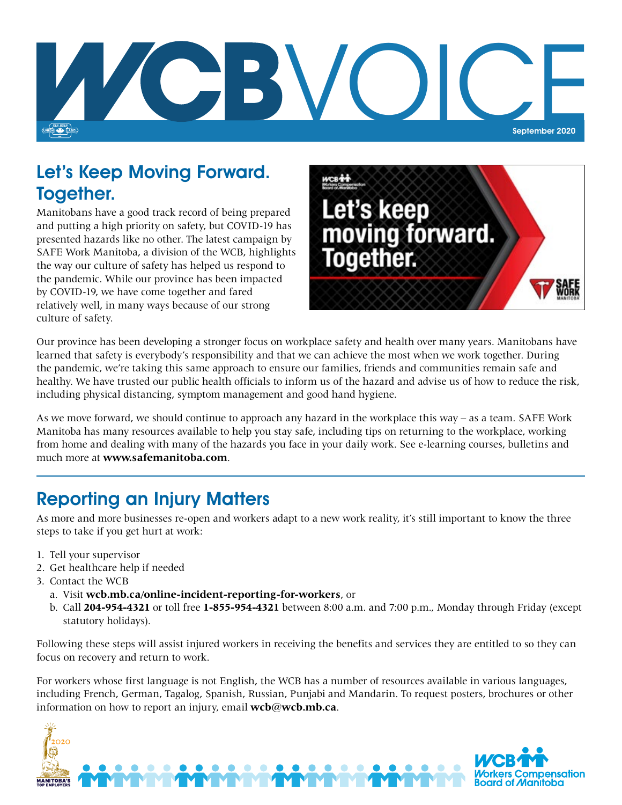

### Let's Keep Moving Forward. Together.

Manitobans have a good track record of being prepared and putting a high priority on safety, but COVID-19 has presented hazards like no other. The latest campaign by SAFE Work Manitoba, a division of the WCB, highlights the way our culture of safety has helped us respond to the pandemic. While our province has been impacted by COVID-19, we have come together and fared relatively well, in many ways because of our strong culture of safety.



Our province has been developing a stronger focus on workplace safety and health over many years. Manitobans have learned that safety is everybody's responsibility and that we can achieve the most when we work together. During the pandemic, we're taking this same approach to ensure our families, friends and communities remain safe and healthy. We have trusted our public health officials to inform us of the hazard and advise us of how to reduce the risk, including physical distancing, symptom management and good hand hygiene.

As we move forward, we should continue to approach any hazard in the workplace this way – as a team. SAFE Work Manitoba has many resources available to help you stay safe, including tips on returning to the workplace, working from home and dealing with many of the hazards you face in your daily work. See e-learning courses, bulletins and much more at **www.safemanitoba.com**.

# Reporting an Injury Matters

As more and more businesses re-open and workers adapt to a new work reality, it's still important to know the three steps to take if you get hurt at work:

- 1. Tell your supervisor
- 2. Get healthcare help if needed
- 3. Contact the WCB
	- a. Visit **wcb.mb.ca/online-incident-reporting-for-workers**, or
	- b. Call **204-954-4321** or toll free **1-855-954-4321** between 8:00 a.m. and 7:00 p.m., Monday through Friday (except statutory holidays).

Following these steps will assist injured workers in receiving the benefits and services they are entitled to so they can focus on recovery and return to work.

For workers whose first language is not English, the WCB has a number of resources available in various languages, including French, German, Tagalog, Spanish, Russian, Punjabi and Mandarin. To request posters, brochures or other information on how to report an injury, email **wcb@wcb.mb.ca**.